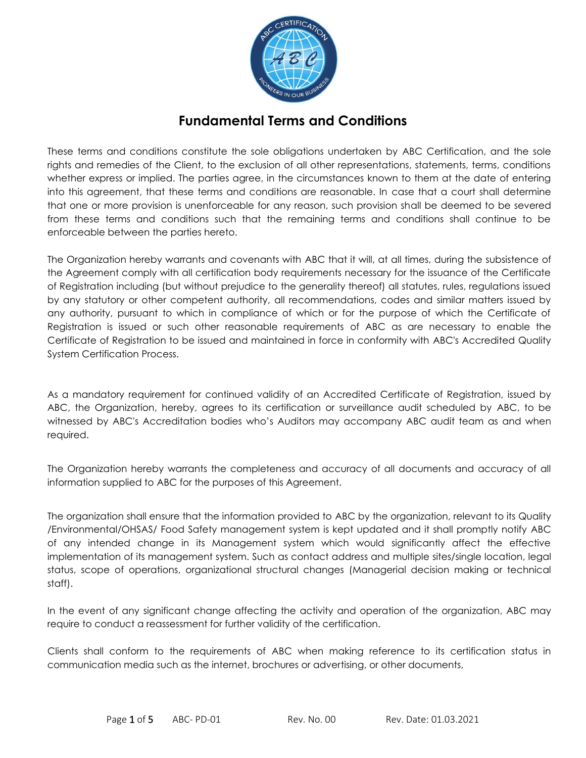

These terms and conditions constitute the sole obligations undertaken by ABC Certification, and the sole rights and remedies of the Client, to the exclusion of all other representations, statements, terms, conditions whether express or implied. The parties agree, in the circumstances known to them at the date of entering into this agreement, that these terms and conditions are reasonable. In case that a court shall determine that one or more provision is unenforceable for any reason, such provision shall be deemed to be severed from these terms and conditions such that the remaining terms and conditions shall continue to be enforceable between the parties hereto.

The Organization hereby warrants and covenants with ABC that it will, at all times, during the subsistence of the Agreement comply with all certification body requirements necessary for the issuance of the Certificate of Registration including (but without prejudice to the generality thereof) all statutes, rules, regulations issued by any statutory or other competent authority, all recommendations, codes and similar matters issued by any authority, pursuant to which in compliance of which or for the purpose of which the Certificate of Registration is issued or such other reasonable requirements of ABC as are necessary to enable the Certificate of Registration to be issued and maintained in force in conformity with ABC's Accredited Quality System Certification Process.

As a mandatory requirement for continued validity of an Accredited Certificate of Registration, issued by ABC, the Organization, hereby, agrees to its certification or surveillance audit scheduled by ABC, to be witnessed by ABC's Accreditation bodies who's Auditors may accompany ABC audit team as and when required.

The Organization hereby warrants the completeness and accuracy of all documents and accuracy of all information supplied to ABC for the purposes of this Agreement.

The organization shall ensure that the information provided to ABC by the organization, relevant to its Quality /Environmental/OHSAS/ Food Safety management system is kept updated and it shall promptly notify ABC of any intended change in its Management system which would significantly affect the effective implementation of its management system. Such as contact address and multiple sites/single location, legal status, scope of operations, organizational structural changes (Managerial decision making or technical staff).

In the event of any significant change affecting the activity and operation of the organization, ABC may require to conduct a reassessment for further validity of the certification.

Clients shall conform to the requirements of ABC when making reference to its certification status in communication media such as the internet, brochures or advertising, or other documents,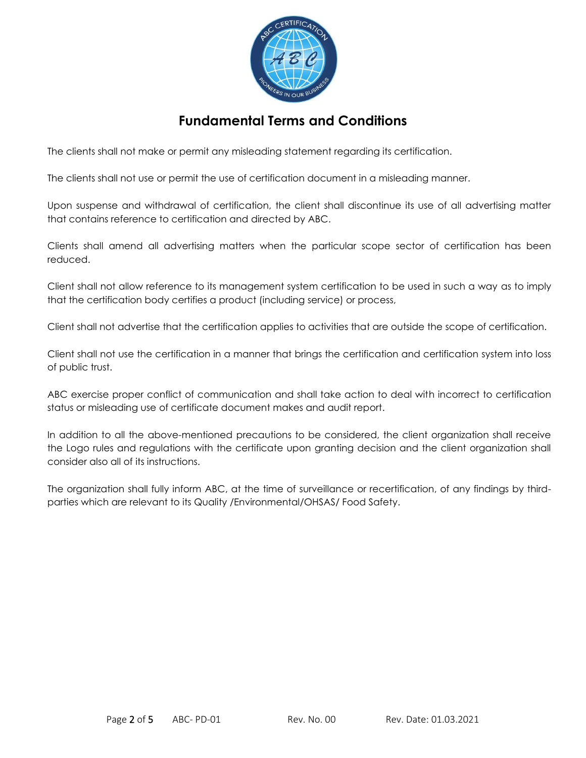

The clients shall not make or permit any misleading statement regarding its certification.

The clients shall not use or permit the use of certification document in a misleading manner.

Upon suspense and withdrawal of certification, the client shall discontinue its use of all advertising matter that contains reference to certification and directed by ABC.

Clients shall amend all advertising matters when the particular scope sector of certification has been reduced.

Client shall not allow reference to its management system certification to be used in such a way as to imply that the certification body certifies a product (including service) or process,

Client shall not advertise that the certification applies to activities that are outside the scope of certification.

Client shall not use the certification in a manner that brings the certification and certification system into loss of public trust.

ABC exercise proper conflict of communication and shall take action to deal with incorrect to certification status or misleading use of certificate document makes and audit report.

In addition to all the above-mentioned precautions to be considered, the client organization shall receive the Logo rules and regulations with the certificate upon granting decision and the client organization shall consider also all of its instructions.

The organization shall fully inform ABC, at the time of surveillance or recertification, of any findings by thirdparties which are relevant to its Quality /Environmental/OHSAS/ Food Safety.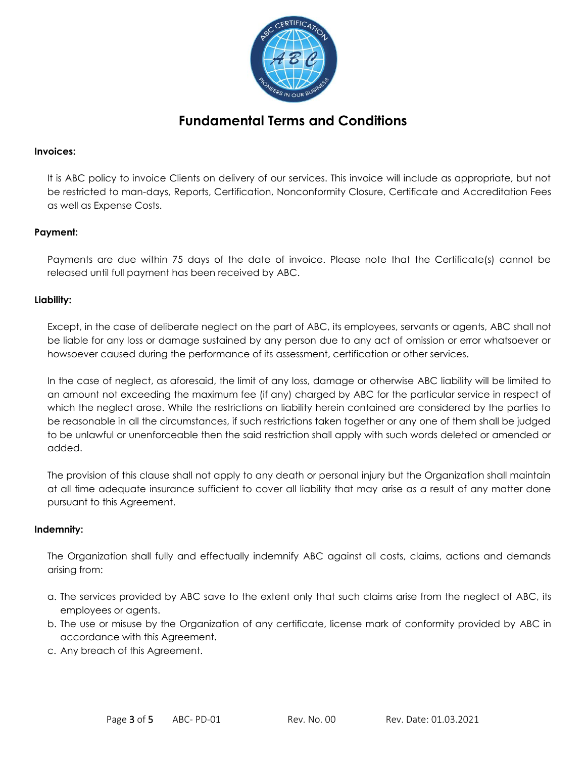

### **Invoices:**

It is ABC policy to invoice Clients on delivery of our services. This invoice will include as appropriate, but not be restricted to man-days, Reports, Certification, Nonconformity Closure, Certificate and Accreditation Fees as well as Expense Costs.

### **Payment:**

Payments are due within 75 days of the date of invoice. Please note that the Certificate(s) cannot be released until full payment has been received by ABC.

## **Liability:**

Except, in the case of deliberate neglect on the part of ABC, its employees, servants or agents, ABC shall not be liable for any loss or damage sustained by any person due to any act of omission or error whatsoever or howsoever caused during the performance of its assessment, certification or other services.

In the case of neglect, as aforesaid, the limit of any loss, damage or otherwise ABC liability will be limited to an amount not exceeding the maximum fee (if any) charged by ABC for the particular service in respect of which the neglect arose. While the restrictions on liability herein contained are considered by the parties to be reasonable in all the circumstances, if such restrictions taken together or any one of them shall be judged to be unlawful or unenforceable then the said restriction shall apply with such words deleted or amended or added.

The provision of this clause shall not apply to any death or personal injury but the Organization shall maintain at all time adequate insurance sufficient to cover all liability that may arise as a result of any matter done pursuant to this Agreement.

#### **Indemnity:**

The Organization shall fully and effectually indemnify ABC against all costs, claims, actions and demands arising from:

- a. The services provided by ABC save to the extent only that such claims arise from the neglect of ABC, its employees or agents.
- b. The use or misuse by the Organization of any certificate, license mark of conformity provided by ABC in accordance with this Agreement.
- c. Any breach of this Agreement.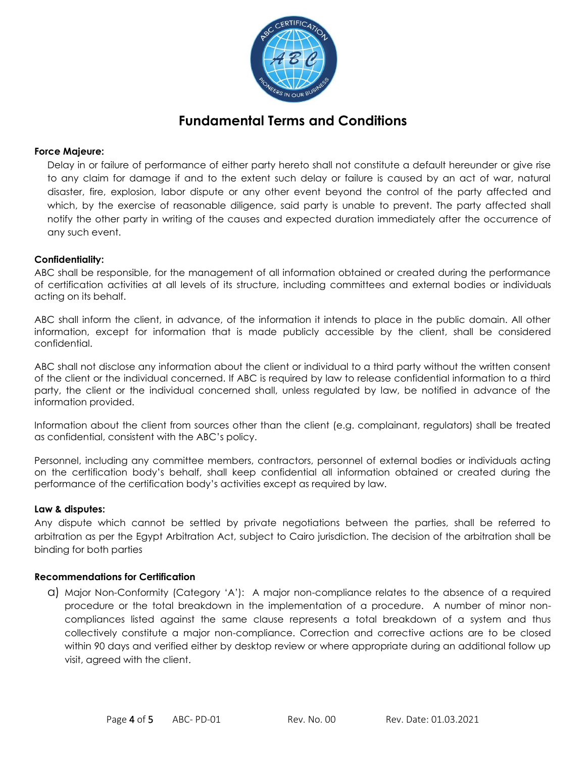

## **Force Majeure:**

Delay in or failure of performance of either party hereto shall not constitute a default hereunder or give rise to any claim for damage if and to the extent such delay or failure is caused by an act of war, natural disaster, fire, explosion, labor dispute or any other event beyond the control of the party affected and which, by the exercise of reasonable diligence, said party is unable to prevent. The party affected shall notify the other party in writing of the causes and expected duration immediately after the occurrence of any such event.

### **Confidentiality:**

ABC shall be responsible, for the management of all information obtained or created during the performance of certification activities at all levels of its structure, including committees and external bodies or individuals acting on its behalf.

ABC shall inform the client, in advance, of the information it intends to place in the public domain. All other information, except for information that is made publicly accessible by the client, shall be considered confidential.

ABC shall not disclose any information about the client or individual to a third party without the written consent of the client or the individual concerned. If ABC is required by law to release confidential information to a third party, the client or the individual concerned shall, unless regulated by law, be notified in advance of the information provided.

Information about the client from sources other than the client (e.g. complainant, regulators) shall be treated as confidential, consistent with the ABC's policy.

Personnel, including any committee members, contractors, personnel of external bodies or individuals acting on the certification body's behalf, shall keep confidential all information obtained or created during the performance of the certification body's activities except as required by law.

#### **Law & disputes:**

Any dispute which cannot be settled by private negotiations between the parties, shall be referred to arbitration as per the Egypt Arbitration Act, subject to Cairo jurisdiction. The decision of the arbitration shall be binding for both parties

#### **Recommendations for Certification**

a) Major Non-Conformity (Category 'A'): A major non-compliance relates to the absence of a required procedure or the total breakdown in the implementation of a procedure. A number of minor noncompliances listed against the same clause represents a total breakdown of a system and thus collectively constitute a major non-compliance. Correction and corrective actions are to be closed within 90 days and verified either by desktop review or where appropriate during an additional follow up visit, agreed with the client.